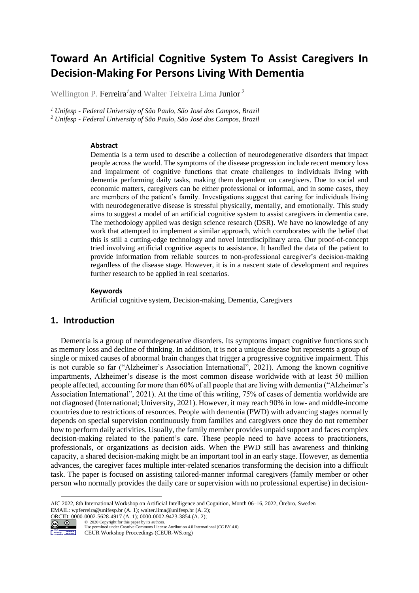# **Toward An Artificial Cognitive System To Assist Caregivers In Decision-Making For Persons Living With Dementia**

Wellington P. Ferreira*<sup>1</sup>* and Walter Teixeira Lima Junior *2*

*<sup>1</sup> Unifesp - Federal University of São Paulo, São José dos Campos, Brazil <sup>2</sup> Unifesp - Federal University of São Paulo, São José dos Campos, Brazil*

#### **Abstract**

Dementia is a term used to describe a collection of neurodegenerative disorders that impact people across the world. The symptoms of the disease progression include recent memory loss and impairment of cognitive functions that create challenges to individuals living with dementia performing daily tasks, making them dependent on caregivers. Due to social and economic matters, caregivers can be either professional or informal, and in some cases, they are members of the patient's family. Investigations suggest that caring for individuals living with neurodegenerative disease is stressful physically, mentally, and emotionally. This study aims to suggest a model of an artificial cognitive system to assist caregivers in dementia care. The methodology applied was design science research (DSR). We have no knowledge of any work that attempted to implement a similar approach, which corroborates with the belief that this is still a cutting-edge technology and novel interdisciplinary area. Our proof-of-concept tried involving artificial cognitive aspects to assistance. It handled the data of the patient to provide information from reliable sources to non-professional caregiver's decision-making regardless of the disease stage. However, it is in a nascent state of development and requires further research to be applied in real scenarios.

#### **Keywords 1**

Artificial cognitive system, Decision-making, Dementia, Caregivers

### **1. Introduction**

Dementia is a group of neurodegenerative disorders. Its symptoms impact cognitive functions such as memory loss and decline of thinking. In addition, it is not a unique disease but represents a group of single or mixed causes of abnormal brain changes that trigger a progressive cognitive impairment. This is not curable so far ("Alzheimer's Association International", 2021). Among the known cognitive impartments, Alzheimer's disease is the most common disease worldwide with at least 50 million people affected, accounting for more than 60% of all people that are living with dementia ("Alzheimer's Association International", 2021). At the time of this writing, 75% of cases of dementia worldwide are not diagnosed (International; University, 2021). However, it may reach 90% in low- and middle-income countries due to restrictions of resources. People with dementia (PWD) with advancing stages normally depends on special supervision continuously from families and caregivers once they do not remember how to perform daily activities. Usually, the family member provides unpaid support and faces complex decision-making related to the patient's care. These people need to have access to practitioners, professionals, or organizations as decision aids. When the PWD still has awareness and thinking capacity, a shared decision-making might be an important tool in an early stage. However, as dementia advances, the caregiver faces multiple inter-related scenarios transforming the decision into a difficult task. The paper is focused on assisting tailored-manner informal caregivers (family member or other person who normally provides the daily care or supervision with no professional expertise) in decision-

AIC 2022, 8th International Workshop on Artificial Intelligence and Cognition, Month 06–16, 2022, Örebro, Sweden EMAIL: wpferreira@unifesp.br (A. 1); walter.lima@unifesp.br (A. 2); ORCID: 0000-0002-5628-4917 (A. 1); 0000-0002-9423-3854 (A. 2);



<sup>©️</sup> 2020 Copyright for this paper by its authors. Use permitted under Creative Commons License Attribution 4.0 International (CC BY 4.0). CEUR Workshop Proceedings (CEUR-WS.org)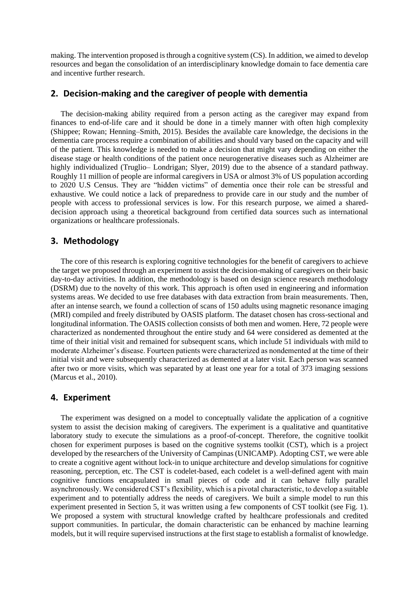making. The intervention proposed is through a cognitive system (CS). In addition, we aimed to develop resources and began the consolidation of an interdisciplinary knowledge domain to face dementia care and incentive further research.

#### **2. Decision-making and the caregiver of people with dementia**

The decision-making ability required from a person acting as the caregiver may expand from finances to end-of-life care and it should be done in a timely manner with often high complexity (Shippee; Rowan; Henning–Smith, 2015). Besides the available care knowledge, the decisions in the dementia care process require a combination of abilities and should vary based on the capacity and will of the patient. This knowledge is needed to make a decision that might vary depending on either the disease stage or health conditions of the patient once neurogenerative diseases such as Alzheimer are highly individualized (Truglio– Londrigan; Slyer, 2019) due to the absence of a standard pathway. Roughly 11 million of people are informal caregivers in USA or almost 3% of US population according to 2020 U.S Census. They are "hidden victims" of dementia once their role can be stressful and exhaustive. We could notice a lack of preparedness to provide care in our study and the number of people with access to professional services is low. For this research purpose, we aimed a shareddecision approach using a theoretical background from certified data sources such as international organizations or healthcare professionals.

#### **3. Methodology**

The core of this research is exploring cognitive technologies for the benefit of caregivers to achieve the target we proposed through an experiment to assist the decision-making of caregivers on their basic day-to-day activities. In addition, the methodology is based on design science research methodology (DSRM) due to the novelty of this work. This approach is often used in engineering and information systems areas. We decided to use free databases with data extraction from brain measurements. Then, after an intense search, we found a collection of scans of 150 adults using magnetic resonance imaging (MRI) compiled and freely distributed by OASIS platform. The dataset chosen has cross-sectional and longitudinal information. The OASIS collection consists of both men and women. Here, 72 people were characterized as nondemented throughout the entire study and 64 were considered as demented at the time of their initial visit and remained for subsequent scans, which include 51 individuals with mild to moderate Alzheimer's disease. Fourteen patients were characterized as nondemented at the time of their initial visit and were subsequently characterized as demented at a later visit. Each person was scanned after two or more visits, which was separated by at least one year for a total of 373 imaging sessions (Marcus et al., 2010).

# **4. Experiment**

The experiment was designed on a model to conceptually validate the application of a cognitive system to assist the decision making of caregivers. The experiment is a qualitative and quantitative laboratory study to execute the simulations as a proof-of-concept. Therefore, the cognitive toolkit chosen for experiment purposes is based on the cognitive systems toolkit (CST), which is a project developed by the researchers of the University of Campinas (UNICAMP). Adopting CST, we were able to create a cognitive agent without lock-in to unique architecture and develop simulations for cognitive reasoning, perception, etc. The CST is codelet-based, each codelet is a well-defined agent with main cognitive functions encapsulated in small pieces of code and it can behave fully parallel asynchronously. We considered CST's flexibility, which is a pivotal characteristic, to develop a suitable experiment and to potentially address the needs of caregivers. We built a simple model to run this experiment presented in Section 5, it was written using a few components of CST toolkit (see Fig. 1). We proposed a system with structural knowledge crafted by healthcare professionals and credited support communities. In particular, the domain characteristic can be enhanced by machine learning models, but it will require supervised instructions at the first stage to establish a formalist of knowledge.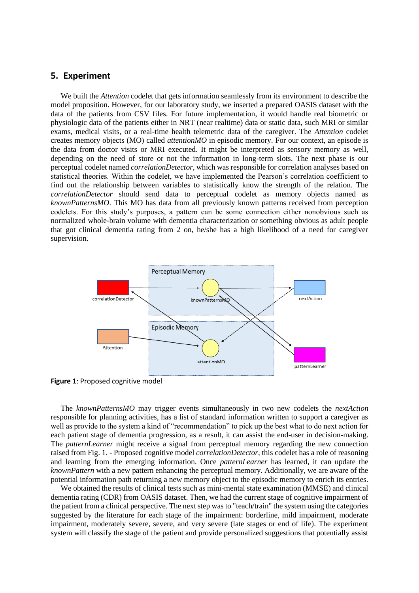# **5. Experiment**

We built the *Attention* codelet that gets information seamlessly from its environment to describe the model proposition. However, for our laboratory study, we inserted a prepared OASIS dataset with the data of the patients from CSV files. For future implementation, it would handle real biometric or physiologic data of the patients either in NRT (near realtime) data or static data, such MRI or similar exams, medical visits, or a real-time health telemetric data of the caregiver. The *Attention* codelet creates memory objects (MO) called *attentionMO* in episodic memory. For our context, an episode is the data from doctor visits or MRI executed. It might be interpreted as sensory memory as well, depending on the need of store or not the information in long-term slots. The next phase is our perceptual codelet named *correlationDetector*, which was responsible for correlation analyses based on statistical theories. Within the codelet, we have implemented the Pearson's correlation coefficient to find out the relationship between variables to statistically know the strength of the relation. The *correlationDetector* should send data to perceptual codelet as memory objects named as *knownPatternsMO*. This MO has data from all previously known patterns received from perception codelets. For this study's purposes, a pattern can be some connection either nonobvious such as normalized whole-brain volume with dementia characterization or something obvious as adult people that got clinical dementia rating from 2 on, he/she has a high likelihood of a need for caregiver supervision.



**Figure 1**: Proposed cognitive model

The *knownPatternsMO* may trigger events simultaneously in two new codelets the *nextAction* responsible for planning activities, has a list of standard information written to support a caregiver as well as provide to the system a kind of "recommendation" to pick up the best what to do next action for each patient stage of dementia progression, as a result, it can assist the end-user in decision-making. The *patternLearner* might receive a signal from perceptual memory regarding the new connection raised from Fig. 1. - Proposed cognitive model *correlationDetector*, this codelet has a role of reasoning and learning from the emerging information. Once *patternLearner* has learned, it can update the *knownPattern* with a new pattern enhancing the perceptual memory. Additionally, we are aware of the potential information path returning a new memory object to the episodic memory to enrich its entries.

We obtained the results of clinical tests such as mini-mental state examination (MMSE) and clinical dementia rating (CDR) from OASIS dataset. Then, we had the current stage of cognitive impairment of the patient from a clinical perspective. The next step was to "teach/train" the system using the categories suggested by the literature for each stage of the impairment: borderline, mild impairment, moderate impairment, moderately severe, severe, and very severe (late stages or end of life). The experiment system will classify the stage of the patient and provide personalized suggestions that potentially assist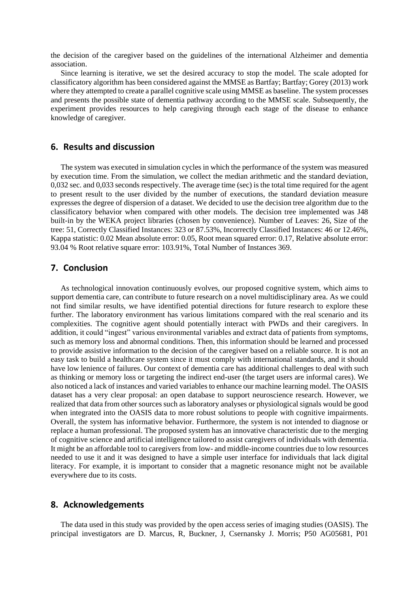the decision of the caregiver based on the guidelines of the international Alzheimer and dementia association.

Since learning is iterative, we set the desired accuracy to stop the model. The scale adopted for classificatory algorithm has been considered against the MMSE as Bartfay; Bartfay; Gorey (2013) work where they attempted to create a parallel cognitive scale using MMSE as baseline. The system processes and presents the possible state of dementia pathway according to the MMSE scale. Subsequently, the experiment provides resources to help caregiving through each stage of the disease to enhance knowledge of caregiver.

#### **6. Results and discussion**

The system was executed in simulation cycles in which the performance of the system was measured by execution time. From the simulation, we collect the median arithmetic and the standard deviation, 0,032 sec. and 0,033 seconds respectively. The average time (sec) is the total time required for the agent to present result to the user divided by the number of executions, the standard deviation measure expresses the degree of dispersion of a dataset. We decided to use the decision tree algorithm due to the classificatory behavior when compared with other models. The decision tree implemented was J48 built-in by the WEKA project libraries (chosen by convenience). Number of Leaves: 26, Size of the tree: 51, Correctly Classified Instances: 323 or 87.53%, Incorrectly Classified Instances: 46 or 12.46%, Kappa statistic: 0.02 Mean absolute error: 0.05, Root mean squared error: 0.17, Relative absolute error: 93.04 % Root relative square error: 103.91%, Total Number of Instances 369.

# **7. Conclusion**

As technological innovation continuously evolves, our proposed cognitive system, which aims to support dementia care, can contribute to future research on a novel multidisciplinary area. As we could not find similar results, we have identified potential directions for future research to explore these further. The laboratory environment has various limitations compared with the real scenario and its complexities. The cognitive agent should potentially interact with PWDs and their caregivers. In addition, it could "ingest" various environmental variables and extract data of patients from symptoms, such as memory loss and abnormal conditions. Then, this information should be learned and processed to provide assistive information to the decision of the caregiver based on a reliable source. It is not an easy task to build a healthcare system since it must comply with international standards, and it should have low lenience of failures. Our context of dementia care has additional challenges to deal with such as thinking or memory loss or targeting the indirect end-user (the target users are informal cares). We also noticed a lack of instances and varied variables to enhance our machine learning model. The OASIS dataset has a very clear proposal: an open database to support neuroscience research. However, we realized that data from other sources such as laboratory analyses or physiological signals would be good when integrated into the OASIS data to more robust solutions to people with cognitive impairments. Overall, the system has informative behavior. Furthermore, the system is not intended to diagnose or replace a human professional. The proposed system has an innovative characteristic due to the merging of cognitive science and artificial intelligence tailored to assist caregivers of individuals with dementia. It might be an affordable tool to caregivers from low- and middle-income countries due to low resources needed to use it and it was designed to have a simple user interface for individuals that lack digital literacy. For example, it is important to consider that a magnetic resonance might not be available everywhere due to its costs.

#### **8. Acknowledgements**

The data used in this study was provided by the open access series of imaging studies (OASIS). The principal investigators are D. Marcus, R, Buckner, J, Csernansky J. Morris; P50 AG05681, P01